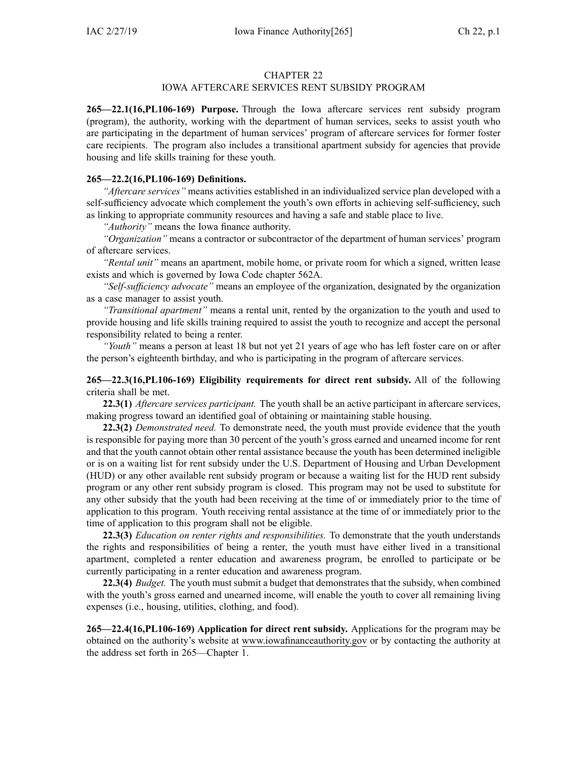#### CHAPTER 22

## IOWA AFTERCARE SERVICES RENT SUBSIDY PROGRAM

**265—22.1(16,PL106-169) Purpose.** Through the Iowa aftercare services rent subsidy program (program), the authority, working with the department of human services, seeks to assist youth who are participating in the department of human services' program of aftercare services for former foster care recipients. The program also includes <sup>a</sup> transitional apartment subsidy for agencies that provide housing and life skills training for these youth.

#### **265—22.2(16,PL106-169) Definitions.**

*"Aftercare services"* means activities established in an individualized service plan developed with <sup>a</sup> self-sufficiency advocate which complement the youth's own efforts in achieving self-sufficiency, such as linking to appropriate community resources and having <sup>a</sup> safe and stable place to live.

*"Authority"* means the Iowa finance authority.

*"Organization"* means <sup>a</sup> contractor or subcontractor of the department of human services' program of aftercare services.

*"Rental unit"* means an apartment, mobile home, or private room for which <sup>a</sup> signed, written lease exists and which is governed by Iowa Code chapter [562A](https://www.legis.iowa.gov/docs/ico/chapter/562A.pdf).

*"Self-sufficiency advocate"* means an employee of the organization, designated by the organization as <sup>a</sup> case manager to assist youth.

*"Transitional apartment"* means <sup>a</sup> rental unit, rented by the organization to the youth and used to provide housing and life skills training required to assist the youth to recognize and accep<sup>t</sup> the personal responsibility related to being <sup>a</sup> renter.

*"Youth"* means <sup>a</sup> person at least 18 but not ye<sup>t</sup> 21 years of age who has left foster care on or after the person's eighteenth birthday, and who is participating in the program of aftercare services.

## **265—22.3(16,PL106-169) Eligibility requirements for direct rent subsidy.** All of the following criteria shall be met.

**22.3(1)** *Aftercare services participant.* The youth shall be an active participant in aftercare services, making progress toward an identified goal of obtaining or maintaining stable housing.

**22.3(2)** *Demonstrated need.* To demonstrate need, the youth must provide evidence that the youth is responsible for paying more than 30 percen<sup>t</sup> of the youth's gross earned and unearned income for rent and that the youth cannot obtain other rental assistance because the youth has been determined ineligible or is on <sup>a</sup> waiting list for rent subsidy under the U.S. Department of Housing and Urban Development (HUD) or any other available rent subsidy program or because <sup>a</sup> waiting list for the HUD rent subsidy program or any other rent subsidy program is closed. This program may not be used to substitute for any other subsidy that the youth had been receiving at the time of or immediately prior to the time of application to this program. Youth receiving rental assistance at the time of or immediately prior to the time of application to this program shall not be eligible.

**22.3(3)** *Education on renter rights and responsibilities.* To demonstrate that the youth understands the rights and responsibilities of being <sup>a</sup> renter, the youth must have either lived in <sup>a</sup> transitional apartment, completed <sup>a</sup> renter education and awareness program, be enrolled to participate or be currently participating in <sup>a</sup> renter education and awareness program.

**22.3(4)** *Budget.* The youth must submit <sup>a</sup> budget that demonstrates that the subsidy, when combined with the youth's gross earned and unearned income, will enable the youth to cover all remaining living expenses (i.e., housing, utilities, clothing, and food).

**265—22.4(16,PL106-169) Application for direct rent subsidy.** Applications for the program may be obtained on the authority's website at www.iowafinanceauthority.gov or by contacting the authority at the address set forth in [265—Chapter](https://www.legis.iowa.gov/docs/iac/chapter/265.1.pdf) 1.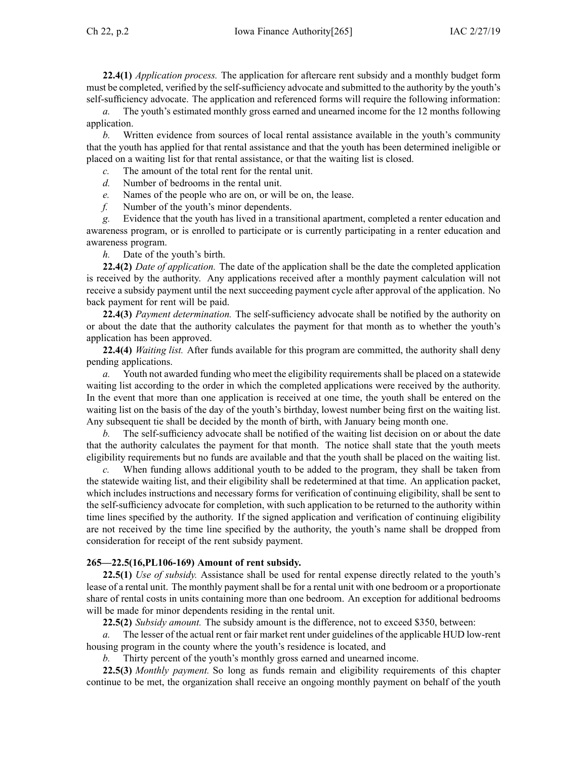**22.4(1)** *Application process.* The application for aftercare rent subsidy and <sup>a</sup> monthly budget form must be completed, verified by the self-sufficiency advocate and submitted to the authority by the youth's self-sufficiency advocate. The application and referenced forms will require the following information:

*a.* The youth's estimated monthly gross earned and unearned income for the 12 months following application.

*b.* Written evidence from sources of local rental assistance available in the youth's community that the youth has applied for that rental assistance and that the youth has been determined ineligible or placed on <sup>a</sup> waiting list for that rental assistance, or that the waiting list is closed.

*c.* The amount of the total rent for the rental unit.

- *d.* Number of bedrooms in the rental unit.
- *e.* Names of the people who are on, or will be on, the lease.
- *f.* Number of the youth's minor dependents.

*g.* Evidence that the youth has lived in <sup>a</sup> transitional apartment, completed <sup>a</sup> renter education and awareness program, or is enrolled to participate or is currently participating in <sup>a</sup> renter education and awareness program.

*h.* Date of the youth's birth.

**22.4(2)** *Date of application.* The date of the application shall be the date the completed application is received by the authority. Any applications received after <sup>a</sup> monthly paymen<sup>t</sup> calculation will not receive <sup>a</sup> subsidy paymen<sup>t</sup> until the next succeeding paymen<sup>t</sup> cycle after approval of the application. No back paymen<sup>t</sup> for rent will be paid.

**22.4(3)** *Payment determination.* The self-sufficiency advocate shall be notified by the authority on or about the date that the authority calculates the paymen<sup>t</sup> for that month as to whether the youth's application has been approved.

**22.4(4)** *Waiting list.* After funds available for this program are committed, the authority shall deny pending applications.

*a.* Youth not awarded funding who meet the eligibility requirements shall be placed on <sup>a</sup> statewide waiting list according to the order in which the completed applications were received by the authority. In the event that more than one application is received at one time, the youth shall be entered on the waiting list on the basis of the day of the youth's birthday, lowest number being first on the waiting list. Any subsequent tie shall be decided by the month of birth, with January being month one.

*b.* The self-sufficiency advocate shall be notified of the waiting list decision on or about the date that the authority calculates the paymen<sup>t</sup> for that month. The notice shall state that the youth meets eligibility requirements but no funds are available and that the youth shall be placed on the waiting list.

*c.* When funding allows additional youth to be added to the program, they shall be taken from the statewide waiting list, and their eligibility shall be redetermined at that time. An application packet, which includes instructions and necessary forms for verification of continuing eligibility, shall be sent to the self-sufficiency advocate for completion, with such application to be returned to the authority within time lines specified by the authority. If the signed application and verification of continuing eligibility are not received by the time line specified by the authority, the youth's name shall be dropped from consideration for receipt of the rent subsidy payment.

### **265—22.5(16,PL106-169) Amount of rent subsidy.**

**22.5(1)** *Use of subsidy.* Assistance shall be used for rental expense directly related to the youth's lease of <sup>a</sup> rental unit. The monthly paymen<sup>t</sup> shall be for <sup>a</sup> rental unit with one bedroom or <sup>a</sup> proportionate share of rental costs in units containing more than one bedroom. An exception for additional bedrooms will be made for minor dependents residing in the rental unit.

**22.5(2)** *Subsidy amount.* The subsidy amount is the difference, not to exceed \$350, between:

The lesser of the actual rent or fair market rent under guidelines of the applicable HUD low-rent housing program in the county where the youth's residence is located, and

*b.* Thirty percen<sup>t</sup> of the youth's monthly gross earned and unearned income.

**22.5(3)** *Monthly payment.* So long as funds remain and eligibility requirements of this chapter continue to be met, the organization shall receive an ongoing monthly paymen<sup>t</sup> on behalf of the youth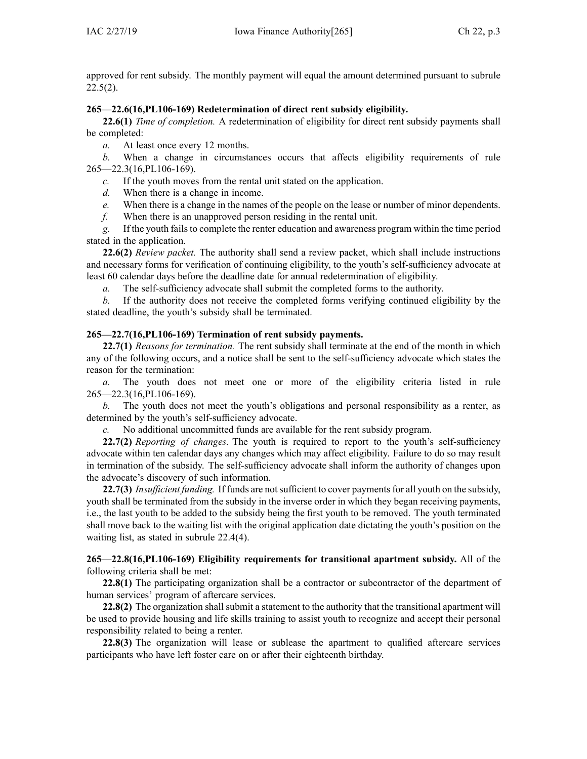approved for rent subsidy. The monthly paymen<sup>t</sup> will equal the amount determined pursuan<sup>t</sup> to subrule  $22.5(2)$ .

## **265—22.6(16,PL106-169) Redetermination of direct rent subsidy eligibility.**

**22.6(1)** *Time of completion.* A redetermination of eligibility for direct rent subsidy payments shall be completed:

*a.* At least once every 12 months.

*b.* When <sup>a</sup> change in circumstances occurs that affects eligibility requirements of rule [265—22.3](https://www.legis.iowa.gov/docs/iac/rule/265.22.3.pdf)(16,PL106-169).

*c.* If the youth moves from the rental unit stated on the application.

*d.* When there is <sup>a</sup> change in income.

*e.* When there is <sup>a</sup> change in the names of the people on the lease or number of minor dependents.

*f.* When there is an unapproved person residing in the rental unit.

*g.* If the youth failsto complete the renter education and awareness program within the time period stated in the application.

**22.6(2)** *Review packet.* The authority shall send <sup>a</sup> review packet, which shall include instructions and necessary forms for verification of continuing eligibility, to the youth's self-sufficiency advocate at least 60 calendar days before the deadline date for annual redetermination of eligibility.

*a.* The self-sufficiency advocate shall submit the completed forms to the authority.

*b.* If the authority does not receive the completed forms verifying continued eligibility by the stated deadline, the youth's subsidy shall be terminated.

# **265—22.7(16,PL106-169) Termination of rent subsidy payments.**

**22.7(1)** *Reasons for termination.* The rent subsidy shall terminate at the end of the month in which any of the following occurs, and <sup>a</sup> notice shall be sent to the self-sufficiency advocate which states the reason for the termination:

*a.* The youth does not meet one or more of the eligibility criteria listed in rule [265—22.3](https://www.legis.iowa.gov/docs/iac/rule/265.22.3.pdf)(16,PL106-169).

*b.* The youth does not meet the youth's obligations and personal responsibility as <sup>a</sup> renter, as determined by the youth's self-sufficiency advocate.

*c.* No additional uncommitted funds are available for the rent subsidy program.

**22.7(2)** *Reporting of changes.* The youth is required to repor<sup>t</sup> to the youth's self-sufficiency advocate within ten calendar days any changes which may affect eligibility. Failure to do so may result in termination of the subsidy. The self-sufficiency advocate shall inform the authority of changes upon the advocate's discovery of such information.

22.7(3) *Insufficient funding*. If funds are not sufficient to cover payments for all youth on the subsidy, youth shall be terminated from the subsidy in the inverse order in which they began receiving payments, i.e., the last youth to be added to the subsidy being the first youth to be removed. The youth terminated shall move back to the waiting list with the original application date dictating the youth's position on the waiting list, as stated in subrule [22.4\(4\)](https://www.legis.iowa.gov/docs/iac/rule/265.22.4.pdf).

**265—22.8(16,PL106-169) Eligibility requirements for transitional apartment subsidy.** All of the following criteria shall be met:

**22.8(1)** The participating organization shall be <sup>a</sup> contractor or subcontractor of the department of human services' program of aftercare services.

**22.8(2)** The organization shall submit <sup>a</sup> statement to the authority that the transitional apartment will be used to provide housing and life skills training to assist youth to recognize and accep<sup>t</sup> their personal responsibility related to being <sup>a</sup> renter.

**22.8(3)** The organization will lease or sublease the apartment to qualified aftercare services participants who have left foster care on or after their eighteenth birthday.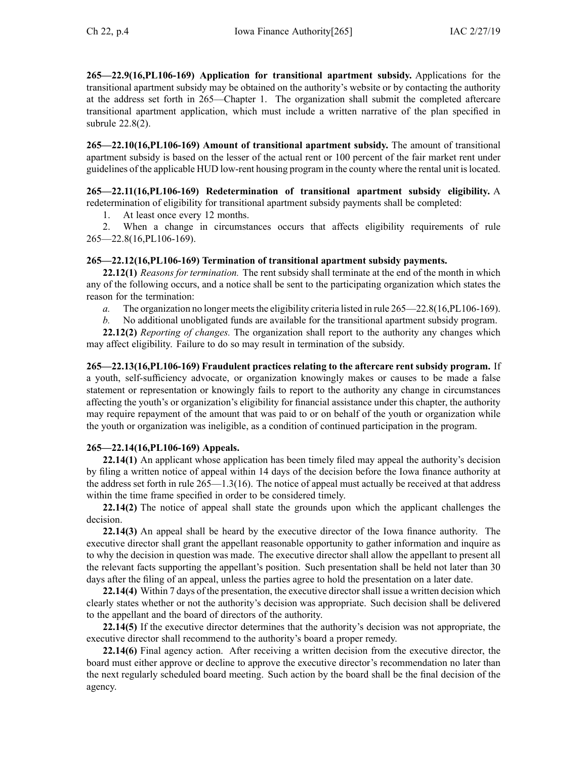**265—22.9(16,PL106-169) Application for transitional apartment subsidy.** Applications for the transitional apartment subsidy may be obtained on the authority's website or by contacting the authority at the address set forth in [265—Chapter](https://www.legis.iowa.gov/docs/iac/chapter/265.1.pdf) 1. The organization shall submit the completed aftercare transitional apartment application, which must include <sup>a</sup> written narrative of the plan specified in subrule [22.8\(2\)](https://www.legis.iowa.gov/docs/iac/rule/265.22.8.pdf).

**265—22.10(16,PL106-169) Amount of transitional apartment subsidy.** The amount of transitional apartment subsidy is based on the lesser of the actual rent or 100 percen<sup>t</sup> of the fair market rent under guidelines of the applicable HUD low-rent housing program in the county where the rental unit islocated.

**265—22.11(16,PL106-169) Redetermination of transitional apartment subsidy eligibility.** A redetermination of eligibility for transitional apartment subsidy payments shall be completed:

1. At least once every 12 months.

2. When <sup>a</sup> change in circumstances occurs that affects eligibility requirements of rule 265—22.8(16,PL106-169).

### **265—22.12(16,PL106-169) Termination of transitional apartment subsidy payments.**

**22.12(1)** *Reasons for termination.* The rent subsidy shall terminate at the end of the month in which any of the following occurs, and <sup>a</sup> notice shall be sent to the participating organization which states the reason for the termination:

*a.* The organization no longer meets the eligibility criteria listed in rule [265—22.8\(](https://www.legis.iowa.gov/docs/iac/rule/265.22.8.pdf)16, PL106-169).

*b.* No additional unobligated funds are available for the transitional apartment subsidy program.

**22.12(2)** *Reporting of changes.* The organization shall repor<sup>t</sup> to the authority any changes which may affect eligibility. Failure to do so may result in termination of the subsidy.

**265—22.13(16,PL106-169) Fraudulent practices relating to the aftercare rent subsidy program.** If <sup>a</sup> youth, self-sufficiency advocate, or organization knowingly makes or causes to be made <sup>a</sup> false statement or representation or knowingly fails to repor<sup>t</sup> to the authority any change in circumstances affecting the youth's or organization's eligibility for financial assistance under this chapter, the authority may require repaymen<sup>t</sup> of the amount that was paid to or on behalf of the youth or organization while the youth or organization was ineligible, as <sup>a</sup> condition of continued participation in the program.

### **265—22.14(16,PL106-169) Appeals.**

**22.14(1)** An applicant whose application has been timely filed may appeal the authority's decision by filing <sup>a</sup> written notice of appeal within 14 days of the decision before the Iowa finance authority at the address set forth in rule 265—1.3(16). The notice of appeal must actually be received at that address within the time frame specified in order to be considered timely.

**22.14(2)** The notice of appeal shall state the grounds upon which the applicant challenges the decision.

**22.14(3)** An appeal shall be heard by the executive director of the Iowa finance authority. The executive director shall gran<sup>t</sup> the appellant reasonable opportunity to gather information and inquire as to why the decision in question was made. The executive director shall allow the appellant to presen<sup>t</sup> all the relevant facts supporting the appellant's position. Such presentation shall be held not later than 30 days after the filing of an appeal, unless the parties agree to hold the presentation on <sup>a</sup> later date.

**22.14(4)** Within 7 days of the presentation, the executive directorshall issue <sup>a</sup> written decision which clearly states whether or not the authority's decision was appropriate. Such decision shall be delivered to the appellant and the board of directors of the authority.

**22.14(5)** If the executive director determines that the authority's decision was not appropriate, the executive director shall recommend to the authority's board <sup>a</sup> proper remedy.

**22.14(6)** Final agency action. After receiving <sup>a</sup> written decision from the executive director, the board must either approve or decline to approve the executive director's recommendation no later than the next regularly scheduled board meeting. Such action by the board shall be the final decision of the agency.